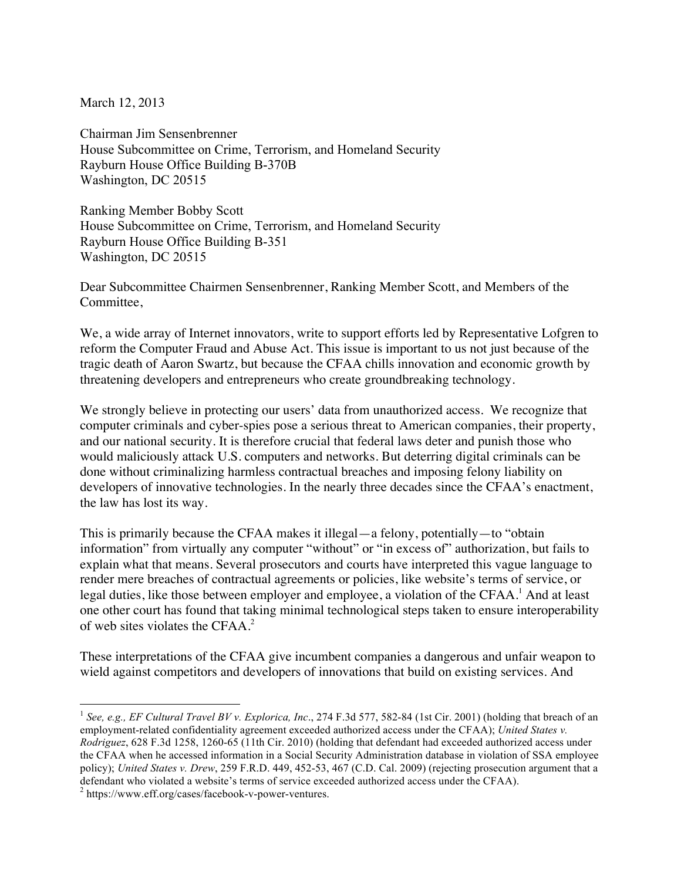March 12, 2013

Chairman Jim Sensenbrenner House Subcommittee on Crime, Terrorism, and Homeland Security Rayburn House Office Building B-370B Washington, DC 20515

Ranking Member Bobby Scott House Subcommittee on Crime, Terrorism, and Homeland Security Rayburn House Office Building B-351 Washington, DC 20515

Dear Subcommittee Chairmen Sensenbrenner, Ranking Member Scott, and Members of the Committee,

We, a wide array of Internet innovators, write to support efforts led by Representative Lofgren to reform the Computer Fraud and Abuse Act. This issue is important to us not just because of the tragic death of Aaron Swartz, but because the CFAA chills innovation and economic growth by threatening developers and entrepreneurs who create groundbreaking technology.

We strongly believe in protecting our users' data from unauthorized access. We recognize that computer criminals and cyber-spies pose a serious threat to American companies, their property, and our national security. It is therefore crucial that federal laws deter and punish those who would maliciously attack U.S. computers and networks. But deterring digital criminals can be done without criminalizing harmless contractual breaches and imposing felony liability on developers of innovative technologies. In the nearly three decades since the CFAA's enactment, the law has lost its way.

This is primarily because the CFAA makes it illegal—a felony, potentially—to "obtain information" from virtually any computer "without" or "in excess of" authorization, but fails to explain what that means. Several prosecutors and courts have interpreted this vague language to render mere breaches of contractual agreements or policies, like website's terms of service, or legal duties, like those between employer and employee, a violation of the CFAA. <sup>1</sup> And at least one other court has found that taking minimal technological steps taken to ensure interoperability of web sites violates the CFAA. 2

These interpretations of the CFAA give incumbent companies a dangerous and unfair weapon to wield against competitors and developers of innovations that build on existing services. And

 <sup>1</sup> *See, e.g., EF Cultural Travel BV v. Explorica, Inc*., 274 F.3d 577, 582-84 (1st Cir. 2001) (holding that breach of an employment-related confidentiality agreement exceeded authorized access under the CFAA); *United States v. Rodriguez*, 628 F.3d 1258, 1260-65 (11th Cir. 2010) (holding that defendant had exceeded authorized access under the CFAA when he accessed information in a Social Security Administration database in violation of SSA employee policy); *United States v. Drew*, 259 F.R.D. 449, 452-53, 467 (C.D. Cal. 2009) (rejecting prosecution argument that a defendant who violated a website's terms of service exceeded authorized access under the CFAA). <sup>2</sup> https://www.eff.org/cases/facebook-v-power-ventures.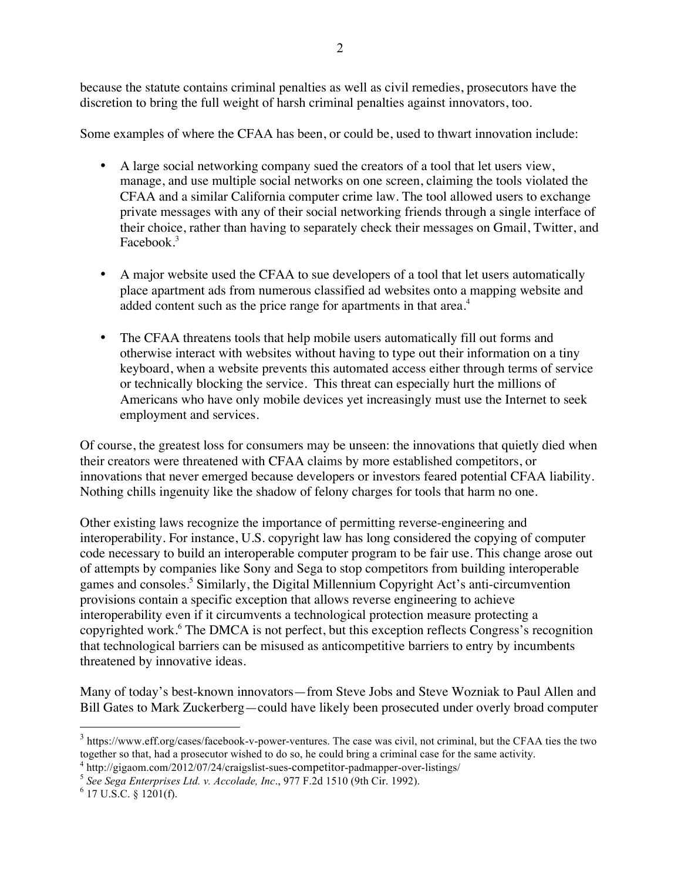because the statute contains criminal penalties as well as civil remedies, prosecutors have the discretion to bring the full weight of harsh criminal penalties against innovators, too.

Some examples of where the CFAA has been, or could be, used to thwart innovation include:

- A large social networking company sued the creators of a tool that let users view, manage, and use multiple social networks on one screen, claiming the tools violated the CFAA and a similar California computer crime law. The tool allowed users to exchange private messages with any of their social networking friends through a single interface of their choice, rather than having to separately check their messages on Gmail, Twitter, and Facebook.<sup>3</sup>
- A major website used the CFAA to sue developers of a tool that let users automatically place apartment ads from numerous classified ad websites onto a mapping website and added content such as the price range for apartments in that area.<sup>4</sup>
- The CFAA threatens tools that help mobile users automatically fill out forms and otherwise interact with websites without having to type out their information on a tiny keyboard, when a website prevents this automated access either through terms of service or technically blocking the service. This threat can especially hurt the millions of Americans who have only mobile devices yet increasingly must use the Internet to seek employment and services.

Of course, the greatest loss for consumers may be unseen: the innovations that quietly died when their creators were threatened with CFAA claims by more established competitors, or innovations that never emerged because developers or investors feared potential CFAA liability. Nothing chills ingenuity like the shadow of felony charges for tools that harm no one.

Other existing laws recognize the importance of permitting reverse-engineering and interoperability. For instance, U.S. copyright law has long considered the copying of computer code necessary to build an interoperable computer program to be fair use. This change arose out of attempts by companies like Sony and Sega to stop competitors from building interoperable games and consoles.<sup>5</sup> Similarly, the Digital Millennium Copyright Act's anti-circumvention provisions contain a specific exception that allows reverse engineering to achieve interoperability even if it circumvents a technological protection measure protecting a copyrighted work.<sup>6</sup> The DMCA is not perfect, but this exception reflects Congress's recognition that technological barriers can be misused as anticompetitive barriers to entry by incumbents threatened by innovative ideas.

Many of today's best-known innovators—from Steve Jobs and Steve Wozniak to Paul Allen and Bill Gates to Mark Zuckerberg—could have likely been prosecuted under overly broad computer

<sup>&</sup>lt;sup>3</sup> https://www.eff.org/cases/facebook-v-power-ventures. The case was civil, not criminal, but the CFAA ties the two together so that, had a prosecutor wished to do so, he could bring a criminal case for the same activity.

<sup>4</sup> http://gigaom.com/2012/07/24/craigslist-sues-competitor-padmapper-over-listings/ <sup>5</sup> *See Sega Enterprises Ltd. v. Accolade, Inc*., 977 F.2d 1510 (9th Cir. 1992). <sup>6</sup> 17 U.S.C. § 1201(f).